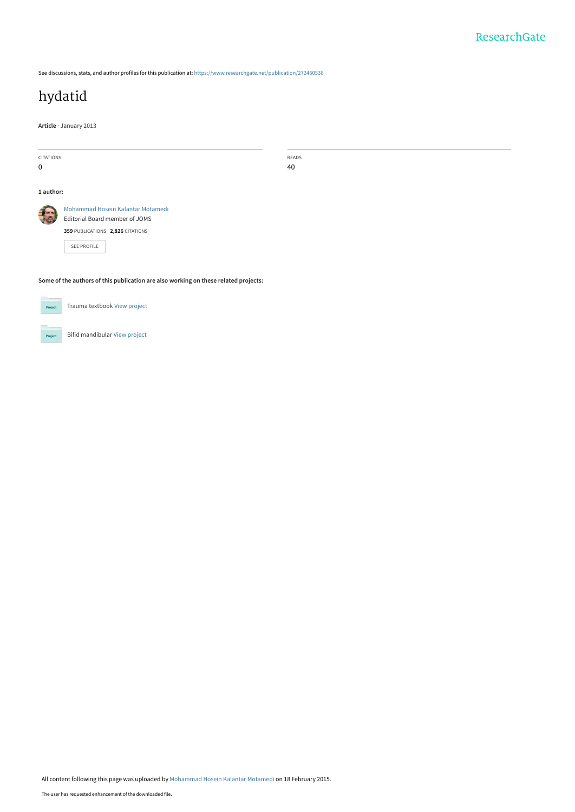See discussions, stats, and author profiles for this publication at: [https://www.researchgate.net/publication/272460538](https://www.researchgate.net/publication/272460538_hydatid?enrichId=rgreq-bd51040b9d364979baf0b1c1fdd0932d-XXX&enrichSource=Y292ZXJQYWdlOzI3MjQ2MDUzODtBUzoxOTgxNjQxNTQ5ODI0MDBAMTQyNDI1NzQyNDMzNA%3D%3D&el=1_x_2&_esc=publicationCoverPdf)

# [hydatid](https://www.researchgate.net/publication/272460538_hydatid?enrichId=rgreq-bd51040b9d364979baf0b1c1fdd0932d-XXX&enrichSource=Y292ZXJQYWdlOzI3MjQ2MDUzODtBUzoxOTgxNjQxNTQ5ODI0MDBAMTQyNDI1NzQyNDMzNA%3D%3D&el=1_x_3&_esc=publicationCoverPdf)

**Article** · January 2013

|                                                                                     | <b>CITATIONS</b><br>READS         |  |
|-------------------------------------------------------------------------------------|-----------------------------------|--|
| 0                                                                                   | 40                                |  |
|                                                                                     |                                   |  |
| 1 author:                                                                           |                                   |  |
|                                                                                     | Mohammad Hosein Kalantar Motamedi |  |
|                                                                                     | Editorial Board member of JOMS    |  |
|                                                                                     | 359 PUBLICATIONS 2,826 CITATIONS  |  |
|                                                                                     | SEE PROFILE                       |  |
|                                                                                     |                                   |  |
|                                                                                     |                                   |  |
| Some of the authors of this publication are also working on these related projects: |                                   |  |
|                                                                                     |                                   |  |
| Project                                                                             | Trauma textbook View project      |  |
|                                                                                     |                                   |  |

Bifid mandibular [View project](https://www.researchgate.net/project/Bifid-mandibular?enrichId=rgreq-bd51040b9d364979baf0b1c1fdd0932d-XXX&enrichSource=Y292ZXJQYWdlOzI3MjQ2MDUzODtBUzoxOTgxNjQxNTQ5ODI0MDBAMTQyNDI1NzQyNDMzNA%3D%3D&el=1_x_9&_esc=publicationCoverPdf)

**Projec** 

All content following this page was uploaded by [Mohammad Hosein Kalantar Motamedi](https://www.researchgate.net/profile/Mohammad_Motamedi2?enrichId=rgreq-bd51040b9d364979baf0b1c1fdd0932d-XXX&enrichSource=Y292ZXJQYWdlOzI3MjQ2MDUzODtBUzoxOTgxNjQxNTQ5ODI0MDBAMTQyNDI1NzQyNDMzNA%3D%3D&el=1_x_10&_esc=publicationCoverPdf) on 18 February 2015.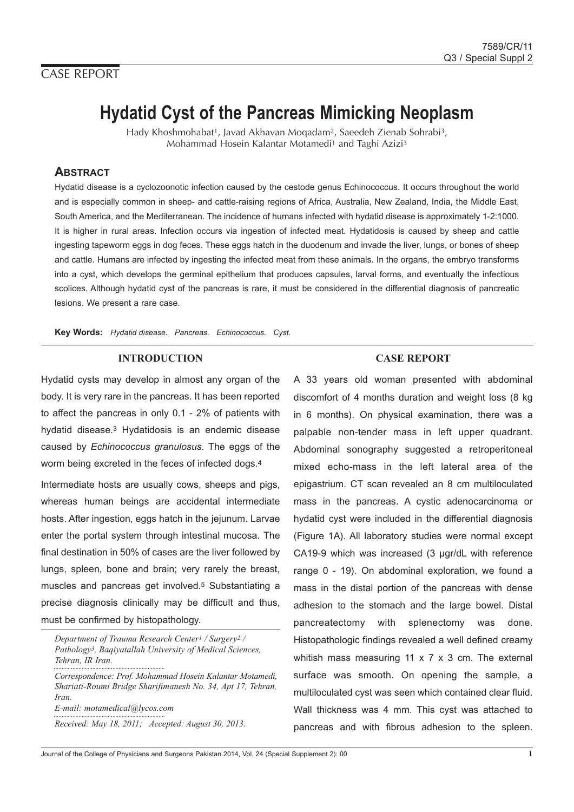# CASE REPORT

# **Hydatid Cyst of the Pancreas Mimicking Neoplasm**

Hady Khoshmohabat1, Javad Akhavan Moqadam2, Saeedeh Zienab Sohrabi3, Mohammad Hosein Kalantar Motamedi1 and Taghi Azizi3

## **ABSTRACT**

Hydatid disease is a cyclozoonotic infection caused by the cestode genus Echinococcus. It occurs throughout the world and is especially common in sheep- and cattle-raising regions of Africa, Australia, New Zealand, India, the Middle East, South America, and the Mediterranean. The incidence of humans infected with hydatid disease is approximately 1-2:1000. It is higher in rural areas. Infection occurs via ingestion of infected meat. Hydatidosis is caused by sheep and cattle ingesting tapeworm eggs in dog feces. These eggs hatch in the duodenum and invade the liver, lungs, or bones of sheep and cattle. Humans are infected by ingesting the infected meat from these animals. In the organs, the embryo transforms into a cyst, which develops the germinal epithelium that produces capsules, larval forms, and eventually the infectious scolices. Although hydatid cyst of the pancreas is rare, it must be considered in the differential diagnosis of pancreatic lesions. We present a rare case.

**Key Words:** Hydatid disease. Pancreas. Echinococcus. Cyst.

## **INTRODUCTION**

Hydatid cysts may develop in almost any organ of the body. It is very rare in the pancreas. It has been reported to affect the pancreas in only 0.1 - 2% of patients with hydatid disease.3 Hydatidosis is an endemic disease caused by Echinococcus granulosus. The eggs of the worm being excreted in the feces of infected dogs.4

Intermediate hosts are usually cows, sheeps and pigs, whereas human beings are accidental intermediate hosts. After ingestion, eggs hatch in the jejunum. Larvae enter the portal system through intestinal mucosa. The final destination in 50% of cases are the liver followed by lungs, spleen, bone and brain; very rarely the breast, muscles and pancreas get involved.5 Substantiating a precise diagnosis clinically may be difficult and thus, must be confirmed by histopathology.

*Department of Trauma Research Center1 / Surgery2 / Pathology3, Baqiyatallah University of Medical Sciences, Tehran, IR Iran.*

*Correspondence: Prof. Mohammad Hosein Kalantar Motamedi, Shariati-Roumi Bridge Sharifimanesh No. 34, Apt 17, Tehran, Iran. E-mail: motamedical@lycos.com*

*Received: May 18, 2011; Accepted: August 30, 2013.*

### **CASE REPORT**

A 33 years old woman presented with abdominal discomfort of 4 months duration and weight loss (8 kg in 6 months). On physical examination, there was a palpable non-tender mass in left upper quadrant. Abdominal sonography suggested a retroperitoneal mixed echo-mass in the left lateral area of the epigastrium. CT scan revealed an 8 cm multiloculated mass in the pancreas. A cystic adenocarcinoma or hydatid cyst were included in the differential diagnosis (Figure 1A). All laboratory studies were normal except CA19-9 which was increased (3 µgr/dL with reference range 0 - 19). On abdominal exploration, we found a mass in the distal portion of the pancreas with dense adhesion to the stomach and the large bowel. Distal pancreatectomy with splenectomy was done. Histopathologic findings revealed a well defined creamy whitish mass measuring 11 x 7 x 3 cm. The external surface was smooth. On opening the sample, a multiloculated cyst was seen which contained clear fluid. Wall thickness was 4 mm. This cyst was attached to pancreas and with fibrous adhesion to the spleen.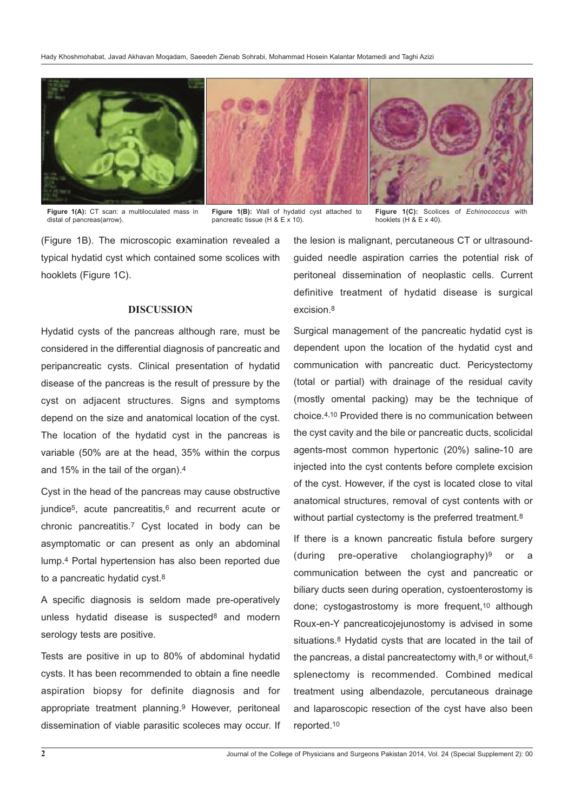

**Figure 1(A):** CT scan: a multiloculated mass in distal of pancreas(arrow).

**Figure 1(B):** Wall of hydatid cyst attached to pancreatic tissue (H & E x 10).

Figure 1(C): Scolices of Echinococcus with hooklets  $(H & E \times 40)$ .

(Figure 1B). The microscopic examination revealed a typical hydatid cyst which contained some scolices with hooklets (Figure 1C).

#### **DISCUSSION**

Hydatid cysts of the pancreas although rare, must be considered in the differential diagnosis of pancreatic and peripancreatic cysts. Clinical presentation of hydatid disease of the pancreas is the result of pressure by the cyst on adjacent structures. Signs and symptoms depend on the size and anatomical location of the cyst. The location of the hydatid cyst in the pancreas is variable (50% are at the head, 35% within the corpus and 15% in the tail of the organ).4

Cyst in the head of the pancreas may cause obstructive jundice<sup>5</sup>, acute pancreatitis,<sup>6</sup> and recurrent acute or chronic pancreatitis.7 Cyst located in body can be asymptomatic or can present as only an abdominal lump.4 Portal hypertension has also been reported due to a pancreatic hydatid cyst.8

A specific diagnosis is seldom made pre-operatively unless hydatid disease is suspected<sup>8</sup> and modern serology tests are positive.

Tests are positive in up to 80% of abdominal hydatid cysts. It has been recommended to obtain a fine needle aspiration biopsy for definite diagnosis and for appropriate treatment planning.9 However, peritoneal dissemination of viable parasitic scoleces may occur. If

the lesion is malignant, percutaneous CT or ultrasoundguided needle aspiration carries the potential risk of peritoneal dissemination of neoplastic cells. Current definitive treatment of hydatid disease is surgical excision.8

Surgical management of the pancreatic hydatid cyst is dependent upon the location of the hydatid cyst and communication with pancreatic duct. Pericystectomy (total or partial) with drainage of the residual cavity (mostly omental packing) may be the technique of choice.4,10 Provided there is no communication between the cyst cavity and the bile or pancreatic ducts, scolicidal agents-most common hypertonic (20%) saline-10 are injected into the cyst contents before complete excision of the cyst. However, if the cyst is located close to vital anatomical structures, removal of cyst contents with or without partial cystectomy is the preferred treatment.<sup>8</sup>

If there is a known pancreatic fistula before surgery (during pre-operative cholangiography)<sup>9</sup> or a communication between the cyst and pancreatic or biliary ducts seen during operation, cystoenterostomy is done; cystogastrostomy is more frequent,10 although Roux-en-Y pancreaticojejunostomy is advised in some situations.8 Hydatid cysts that are located in the tail of the pancreas, a distal pancreatectomy with, $8$  or without, $6$ splenectomy is recommended. Combined medical treatment using albendazole, percutaneous drainage and laparoscopic resection of the cyst have also been reported.10